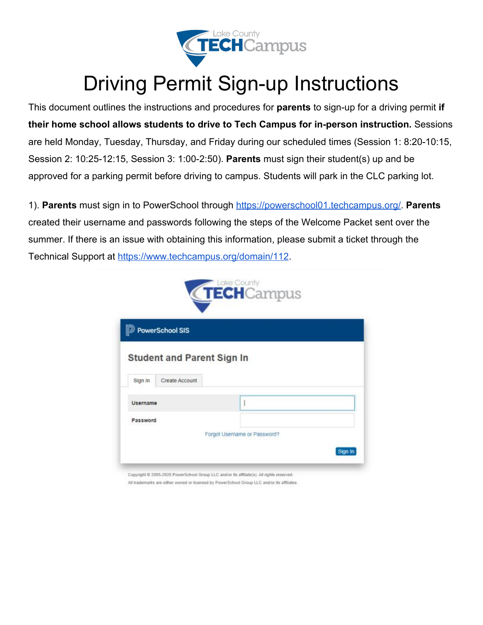

## Driving Permit Sign-up Instructions

This document outlines the instructions and procedures for **parents** to sign-up for a driving permit **if their home school allows students to drive to Tech Campus for in-person instruction.** Sessions are held Monday, Tuesday, Thursday, and Friday during our scheduled times (Session 1: 8:20-10:15, Session 2: 10:25-12:15, Session 3: 1:00-2:50). **Parents** must sign their student(s) up and be approved for a parking permit before driving to campus. Students will park in the CLC parking lot.

1). **Parents** must sign in to PowerSchool through<https://powerschool01.techcampus.org/>. **Parents** created their username and passwords following the steps of the Welcome Packet sent over the summer. If there is an issue with obtaining this information, please submit a ticket through the Technical Support at<https://www.techcampus.org/domain/112>.



All trademarks are either owned or licensed by PowerSchool Group LLC and/or its affiliates.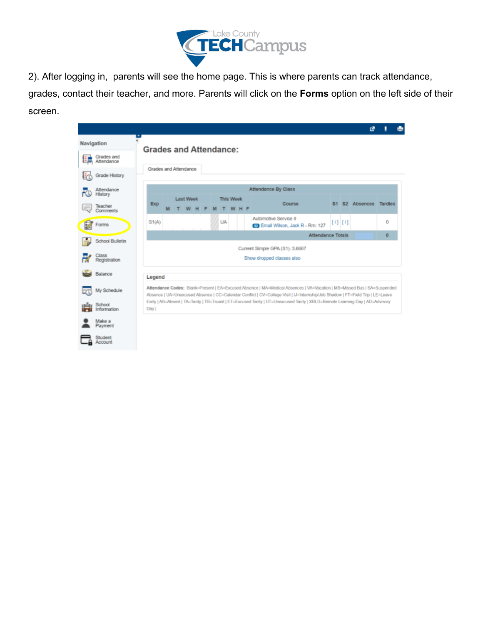

2). After logging in, parents will see the home page. This is where parents can track attendance, grades, contact their teacher, and more. Parents will click on the **Forms** option on the left side of their screen.

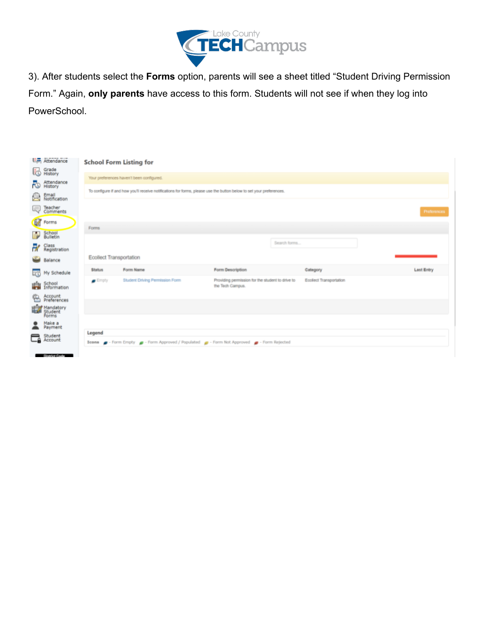

3). After students select the **Forms** option, parents will see a sheet titled "Student Driving Permission Form." Again, **only parents** have access to this form. Students will not see if when they log into PowerSchool.

|    | Attendance                                     | <b>School Form Listing for</b>                                                                                       |                                                                                            |                                                                      |              |                        |  |                   |  |  |
|----|------------------------------------------------|----------------------------------------------------------------------------------------------------------------------|--------------------------------------------------------------------------------------------|----------------------------------------------------------------------|--------------|------------------------|--|-------------------|--|--|
| 勫  | Grade<br>History                               | Your preferences haven't been configured.                                                                            |                                                                                            |                                                                      |              |                        |  |                   |  |  |
| ಸಾ | Attendance<br>History                          | To configure if and how you'll receive notifications for forms, please use the button below to set your preferences. |                                                                                            |                                                                      |              |                        |  |                   |  |  |
| ь  | Email<br>Notification                          |                                                                                                                      |                                                                                            |                                                                      |              |                        |  |                   |  |  |
| Q  | Teacher<br>Comments                            |                                                                                                                      |                                                                                            |                                                                      |              |                        |  | Preferences       |  |  |
|    | <b>R</b> Forms                                 | Forms                                                                                                                |                                                                                            |                                                                      |              |                        |  |                   |  |  |
| ÷  | School<br>Bulletin                             |                                                                                                                      |                                                                                            |                                                                      |              |                        |  |                   |  |  |
| ₩  | Class<br>Registration                          |                                                                                                                      |                                                                                            |                                                                      | Search forms |                        |  |                   |  |  |
|    | <b>bid</b> Balance                             | <b>Ecollect Transportation</b>                                                                                       |                                                                                            |                                                                      |              |                        |  |                   |  |  |
|    | My Schedule                                    | <b>Status</b>                                                                                                        | Form Name                                                                                  | Form Description                                                     |              | Category               |  | <b>Last Entry</b> |  |  |
| 曕  | School<br>Information                          | $=$ Empty                                                                                                            | <b>Student Driving Permission Form</b>                                                     | Providing permission for the student to drive to<br>the Tech Campus. |              | Ecolect Transportation |  |                   |  |  |
| ఆ  | Account<br>Preferences                         |                                                                                                                      |                                                                                            |                                                                      |              |                        |  |                   |  |  |
|    | <b>Hour Mandatory</b><br>Rich Student<br>Forms |                                                                                                                      |                                                                                            |                                                                      |              |                        |  |                   |  |  |
|    | Make a<br>Payment                              |                                                                                                                      |                                                                                            |                                                                      |              |                        |  |                   |  |  |
|    | Student<br><b>Ca</b> Account                   | Legend                                                                                                               |                                                                                            |                                                                      |              |                        |  |                   |  |  |
|    |                                                |                                                                                                                      | Icons e - Form Empty e - Form Approved / Populated e - Form Not Approved e - Form Rejected |                                                                      |              |                        |  |                   |  |  |
|    | <b>Classics Cools</b>                          |                                                                                                                      |                                                                                            |                                                                      |              |                        |  |                   |  |  |